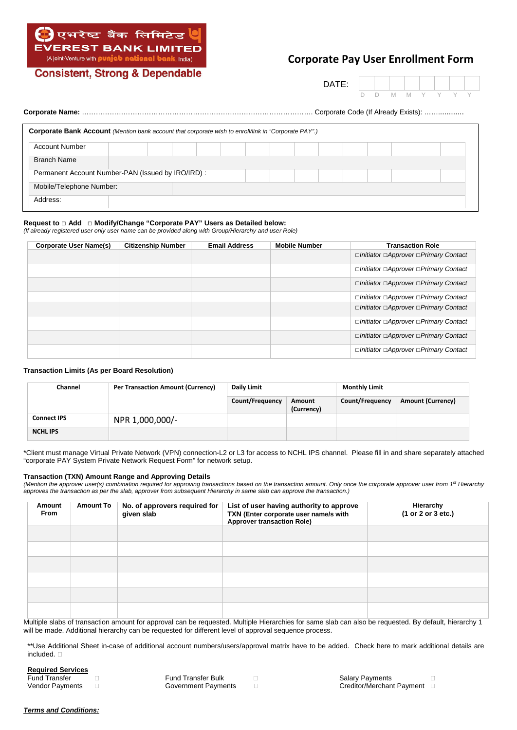

**Consistent, Strong & Dependable** 

# **Corporate Pay User Enrollment Form**

DATE:

D D M M Y Y Y Y

|  |                                                                                                             |  |  |  |  | Corporate Code (If Already Exists): |  |  |  |  |  |  |  |
|--|-------------------------------------------------------------------------------------------------------------|--|--|--|--|-------------------------------------|--|--|--|--|--|--|--|
|  | <b>Corporate Bank Account</b> (Mention bank account that corporate wish to enroll/link in "Corporate PAY".) |  |  |  |  |                                     |  |  |  |  |  |  |  |
|  | <b>Account Number</b>                                                                                       |  |  |  |  |                                     |  |  |  |  |  |  |  |
|  | <b>Branch Name</b>                                                                                          |  |  |  |  |                                     |  |  |  |  |  |  |  |
|  | Permanent Account Number-PAN (Issued by IRO/IRD):                                                           |  |  |  |  |                                     |  |  |  |  |  |  |  |
|  | Mobile/Telephone Number:                                                                                    |  |  |  |  |                                     |  |  |  |  |  |  |  |
|  | Address:                                                                                                    |  |  |  |  |                                     |  |  |  |  |  |  |  |

# **Request to** □ **Add** □ **Modify/Change "Corporate PAY" Users as Detailed below:**

*(If already registered user only user name can be provided along with Group/Hierarchy and user Role)*

| <b>Corporate User Name(s)</b> | <b>Citizenship Number</b> | <b>Email Address</b> | <b>Mobile Number</b> | <b>Transaction Role</b>               |
|-------------------------------|---------------------------|----------------------|----------------------|---------------------------------------|
|                               |                           |                      |                      | □Initiator □Approver □Primary Contact |
|                               |                           |                      |                      | □Initiator □Approver □Primary Contact |
|                               |                           |                      |                      | □Initiator □Approver □Primary Contact |
|                               |                           |                      |                      | □Initiator □Approver □Primary Contact |
|                               |                           |                      |                      | □Initiator □Approver □Primary Contact |
|                               |                           |                      |                      | □Initiator □Approver □Primary Contact |
|                               |                           |                      |                      | □Initiator □Approver □Primary Contact |
|                               |                           |                      |                      | □Initiator □Approver □Primary Contact |

## **Transaction Limits (As per Board Resolution)**

| Channel            | <b>Per Transaction Amount (Currency)</b><br><b>Daily Limit</b> |                 |                      | <b>Monthly Limit</b> |                          |  |
|--------------------|----------------------------------------------------------------|-----------------|----------------------|----------------------|--------------------------|--|
|                    |                                                                | Count/Frequency | Amount<br>(Currency) | Count/Frequency      | <b>Amount (Currency)</b> |  |
| <b>Connect IPS</b> | NPR 1,000,000/-                                                |                 |                      |                      |                          |  |
| <b>NCHL IPS</b>    |                                                                |                 |                      |                      |                          |  |

\*Client must manage Virtual Private Network (VPN) connection-L2 or L3 for access to NCHL IPS channel. Please fill in and share separately attached "corporate PAY System Private Network Request Form" for network setup.

#### **Transaction (TXN) Amount Range and Approving Details**

*(Mention the approver user(s) combination required for approving transactions based on the transaction amount. Only once the corporate approver user from 1st Hierarchy approves the transaction as per the slab, approver from subsequent Hierarchy in same slab can approve the transaction.)*

| Amount<br><b>From</b> | <b>Amount To</b> | No. of approvers required for<br>given slab | List of user having authority to approve<br>TXN (Enter corporate user name/s with<br><b>Approver transaction Role)</b> | Hierarchy<br>(1 or 2 or 3 etc.) |
|-----------------------|------------------|---------------------------------------------|------------------------------------------------------------------------------------------------------------------------|---------------------------------|
|                       |                  |                                             |                                                                                                                        |                                 |
|                       |                  |                                             |                                                                                                                        |                                 |
|                       |                  |                                             |                                                                                                                        |                                 |
|                       |                  |                                             |                                                                                                                        |                                 |
|                       |                  |                                             |                                                                                                                        |                                 |
|                       |                  |                                             |                                                                                                                        |                                 |

Multiple slabs of transaction amount for approval can be requested. Multiple Hierarchies for same slab can also be requested. By default, hierarchy 1 will be made. Additional hierarchy can be requested for different level of approval sequence process.

\*\*Use Additional Sheet in-case of additional account numbers/users/approval matrix have to be added. Check here to mark additional details are included.  $\Box$ 

| <b>Required Services</b> |                            |
|--------------------------|----------------------------|
| <b>Fund Transfer</b>     | <b>Fund Transfer Bulk</b>  |
| Vendor Payments          | <b>Government Payments</b> |

Salary Payments **Europe E** Creditor/Merchant Payment  $\Box$ 

### *Terms and Conditions:*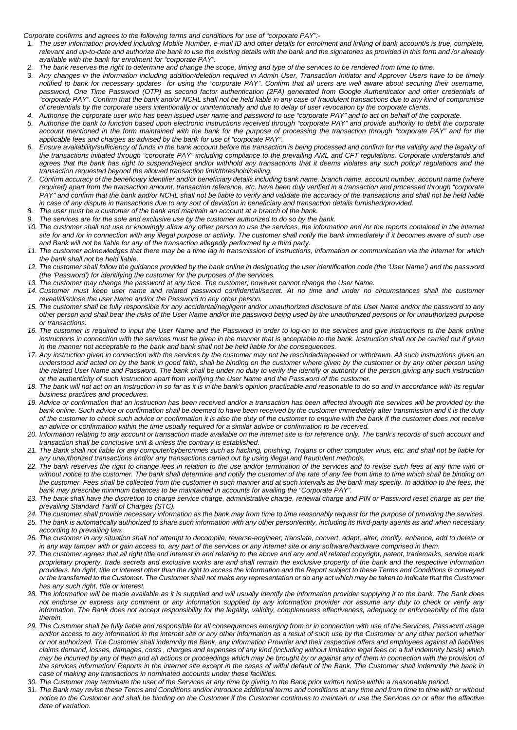*Corporate confirms and agrees to the following terms and conditions for use of "corporate PAY":-*

- *1. The user information provided including Mobile Number, e-mail ID and other details for enrolment and linking of bank account/s is true, complete, relevant and up-to-date and authorize the bank to use the existing details with the bank and the signatories as provided in this form and /or already available with the bank for enrolment for "corporate PAY".*
- *2. The bank reserves the right to determine and change the scope, timing and type of the services to be rendered from time to time.*
- *3. Any changes in the information including addition/deletion required in Admin User, Transaction Initiator and Approver Users have to be timely notified to bank for necessary updates for using the "corporate PAY". Confirm that all users are well aware about securing their username, password, One Time Password (OTP) as second factor authentication (2FA) generated from Google Authenticator and other credentials of "corporate PAY". Confirm that the bank and/or NCHL shall not be held liable in any case of fraudulent transactions due to any kind of compromise of credentials by the corporate users intentionally or unintentionally and due to delay of user revocation by the corporate clients.*
- *4. Authorise the corporate user who has been issued user name and password to use "corporate PAY" and to act on behalf of the corporate.*
- *5. Authorise the bank to function based upon electronic instructions received through "corporate PAY" and provide authority to debit the corporate account mentioned in the form maintained with the bank for the purpose of processing the transaction through "corporate PAY" and for the applicable fees and charges as advised by the bank for use of "corporate PAY".*
- *6. Ensure availability/sufficiency of funds in the bank account before the transaction is being processed and confirm for the validity and the legality of the transactions initiated through "corporate PAY" including compliance to the prevailing AML and CFT regulations. Corporate understands and*  agrees that the bank has right to suspend/reject and/or withhold any transactions that it deems violates any such policy/ regulations and the *transaction requested beyond the allowed transaction limit/threshold/ceiling.*
- *7. Confirm accuracy of the beneficiary identifier and/or beneficiary details including bank name, branch name, account number, account name (where required) apart from the transaction amount, transaction reference, etc. have been duly verified in a transaction and processed through "corporate* PAY" and confirm that the bank and/or NCHL shall not be liable to verify and validate the accuracy of the transactions and shall not be held liable *in case of any dispute in transactions due to any sort of deviation in beneficiary and transaction details furnished/provided.*
- *8. The user must be a customer of the bank and maintain an account at a branch of the bank.*
- *9. The services are for the sole and exclusive use by the customer authorized to do so by the bank.*
- *10. The customer shall not use or knowingly allow any other person to use the services, the information and /or the reports contained in the internet*  site for and /or in connection with any illegal purpose or activity. The customer shall notify the bank immediately if it becomes aware of such use *and Bank will not be liable for any of the transaction allegedly performed by a third party.*
- *11. The customer acknowledges that there may be a time lag in transmission of instructions, information or communication via the internet for which the bank shall not be held liable.*
- 12. The customer shall follow the guidance provided by the bank online in designating the user identification code (the 'User Name') and the password *(the 'Password') for identifying the customer for the purposes of the services.*
- *13. The customer may change the password at any time. The customer; however cannot change the User Name.*
- *14. Customer must keep user name and related password confidential/secret. At no time and under no circumstances shall the customer reveal/disclose the user Name and/or the Password to any other person.*
- *15. The customer shall be fully responsible for any accidental/negligent and/or unauthorized disclosure of the User Name and/or the password to any other person and shall bear the risks of the User Name and/or the password being used by the unauthorized persons or for unauthorized purpose or transactions.*
- 16. The customer is required to input the User Name and the Password in order to log-on to the services and give instructions to the bank online *instructions in connection with the services must be given in the manner that is acceptable to the bank. Instruction shall not be carried out if given in the manner not acceptable to the bank and bank shall not be held liable for the consequences.*
- *17. Any instruction given in connection with the services by the customer may not be rescinded/repealed or withdrawn. All such instructions given an understood and acted on by the bank in good faith, shall be binding on the customer where given by the customer or by any other person using the related User Name and Password. The bank shall be under no duty to verify the identify or authority of the person giving any such instruction or the authenticity of such instruction apart from verifying the User Name and the Password of the customer.*
- *18. The bank will not act on an instruction in so far as it is in the bank's opinion practicable and reasonable to do so and in accordance with its regular business practices and procedures.*
- 19. Advice or confirmation that an instruction has been received and/or a transaction has been affected through the services will be provided by the *bank online. Such advice or confirmation shall be deemed to have been received by the customer immediately after transmission and it is the duty of the customer to check such advice or confirmation it is also the duty of the customer to enquire with the bank if the customer does not receive an advice or confirmation within the time usually required for a similar advice or confirmation to be received.*
- *20. Information relating to any account or transaction made available on the internet site is for reference only. The bank's records of such account and transaction shall be conclusive unit & unless the contrary is established.*
- *21. The Bank shall not liable for any computer/cybercrimes such as hacking, phishing, Trojans or other computer virus, etc. and shall not be liable for any unauthorized transactions and/or any transactions carried out by using illegal and fraudulent methods.*
- *22. The bank reserves the right to change fees in relation to the use and/or termination of the services and to revise such fees at any time with or*  without notice to the customer. The bank shall determine and notify the customer of the rate of any fee from time to time which shall be binding on the customer. Fees shall be collected from the customer in such manner and at such intervals as the bank may specify. In addition to the fees, the *bank may prescribe minimum balances to be maintained in accounts for availing the "Corporate PAY".*
- *23. The bank shall have the discretion to charge service charge, administrative charge, renewal charge and PIN or Password reset charge as per the prevailing Standard Tariff of Charges (STC).*
- *24. The customer shall provide necessary information as the bank may from time to time reasonably request for the purpose of providing the services. 25. The bank is automatically authorized to share such information with any other person/entity, including its third-party agents as and when necessary according to prevailing law.*
- *26. The customer in any situation shall not attempt to decompile, reverse-engineer, translate, convert, adapt, alter, modify, enhance, add to delete or*  in any way tamper with or gain access to, any part of the services or any internet site or any software/hardware comprised in them.
- *27. The customer agrees that all right title and interest in and relating to the above and any and all related copyright, patent, trademarks, service mark proprietary property, trade secrets and exclusive works are and shall remain the exclusive property of the bank and the respective information providers. No right, title or interest other than the right to access the information and the Report subject to these Terms and Conditions is conveyed or the transferred to the Customer. The Customer shall not make any representation or do any act which may be taken to indicate that the Customer has any such right, title or interest.*
- *28. The information will be made available as it is supplied and will usually identify the information provider supplying it to the bank. The Bank does not endorse or express any comment or any information supplied by any information provider nor assume any duty to check or verify any information. The Bank does not accept responsibility for the legality, validity, completeness effectiveness, adequacy or enforceability of the data therein.*
- *29. The Customer shall be fully liable and responsible for all consequences emerging from or in connection with use of the Services, Password usage and/or access to any information in the internet site or any other information as a result of such use by the Customer or any other person whether or not authorized. The Customer shall indemnity the Bank, any information Provider and their respective offers and employees against all liabilities claims demand, losses, damages, costs , charges and expenses of any kind (including without limitation legal fees on a full indemnity basis) which may be incurred by any of them and all actions or proceedings which may be brought by or against any of them in connection with the provision of* the services information/ Reports in the internet site except in the cases of wilful default of the Bank. The Customer shall indemnity the bank in *case of making any transactions in nominated accounts under these facilities.*
- *30. The Customer may terminate the user of the Services at any time by giving to the Bank prior written notice within a reasonable period.*
- *31. The Bank may revise these Terms and Conditions and/or introduce additional terms and conditions at any time and from time to time with or without notice to the Customer and shall be binding on the Customer if the Customer continues to maintain or use the Services on or after the effective date of variation.*